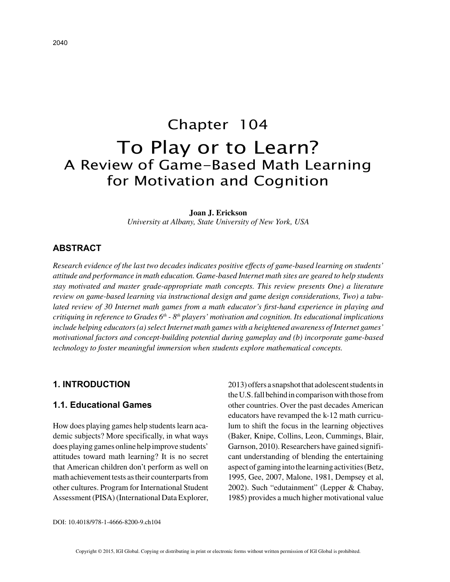# Chapter 104 To Play or to Learn? A Review of Game-Based Math Learning for Motivation and Cognition

#### **Joan J. Erickson**

*University at Albany, State University of New York, USA*

#### **ABSTRACT**

*Research evidence of the last two decades indicates positive effects of game-based learning on students' attitude and performance in math education. Game-based Internet math sites are geared to help students stay motivated and master grade-appropriate math concepts. This review presents One) a literature review on game-based learning via instructional design and game design considerations, Two) a tabulated review of 30 Internet math games from a math educator's first-hand experience in playing and critiquing in reference to Grades 6th - 8th players' motivation and cognition. Its educational implications include helping educators (a) select Internet math games with a heightened awareness of Internet games' motivational factors and concept-building potential during gameplay and (b) incorporate game-based technology to foster meaningful immersion when students explore mathematical concepts.*

#### **1. INTRODUCTION**

#### **1.1. Educational Games**

How does playing games help students learn academic subjects? More specifically, in what ways does playing games online help improve students' attitudes toward math learning? It is no secret that American children don't perform as well on math achievement tests as their counterparts from other cultures. Program for International Student Assessment (PISA) (International Data Explorer, 2013) offers a snapshot that adolescent students in the U.S. fall behind in comparison with those from other countries. Over the past decades American educators have revamped the k-12 math curriculum to shift the focus in the learning objectives (Baker, Knipe, Collins, Leon, Cummings, Blair, Garnson, 2010). Researchers have gained significant understanding of blending the entertaining aspect of gaming into the learning activities (Betz, 1995, Gee, 2007, Malone, 1981, Dempsey et al, 2002). Such "edutainment" (Lepper & Chabay, 1985) provides a much higher motivational value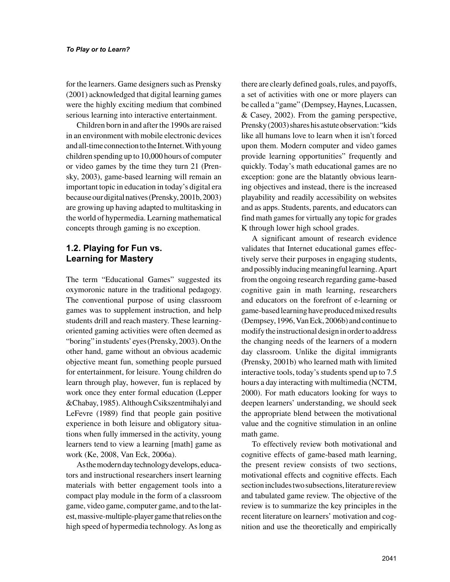for the learners. Game designers such as Prensky (2001) acknowledged that digital learning games were the highly exciting medium that combined serious learning into interactive entertainment.

Children born in and after the 1990s are raised in an environment with mobile electronic devices and all-time connection to the Internet. With young children spending up to 10,000 hours of computer or video games by the time they turn 21 (Prensky, 2003), game-based learning will remain an important topic in education in today's digital era because our digital natives (Prensky, 2001b, 2003) are growing up having adapted to multitasking in the world of hypermedia. Learning mathematical concepts through gaming is no exception.

## **1.2. Playing for Fun vs. Learning for Mastery**

The term "Educational Games" suggested its oxymoronic nature in the traditional pedagogy. The conventional purpose of using classroom games was to supplement instruction, and help students drill and reach mastery. These learningoriented gaming activities were often deemed as "boring" in students' eyes (Prensky, 2003). On the other hand, game without an obvious academic objective meant fun, something people pursued for entertainment, for leisure. Young children do learn through play, however, fun is replaced by work once they enter formal education (Lepper &Chabay, 1985). Although Csikszentmihalyi and LeFevre (1989) find that people gain positive experience in both leisure and obligatory situations when fully immersed in the activity, young learners tend to view a learning [math] game as work (Ke, 2008, Van Eck, 2006a).

As the modern day technology develops, educators and instructional researchers insert learning materials with better engagement tools into a compact play module in the form of a classroom game, video game, computer game, and to the latest, massive-multiple-player game that relies on the high speed of hypermedia technology. As long as there are clearly defined goals, rules, and payoffs, a set of activities with one or more players can be called a "game" (Dempsey, Haynes, Lucassen, & Casey, 2002). From the gaming perspective, Prensky (2003) shares his astute observation: "kids like all humans love to learn when it isn't forced upon them. Modern computer and video games provide learning opportunities" frequently and quickly. Today's math educational games are no exception: gone are the blatantly obvious learning objectives and instead, there is the increased playability and readily accessibility on websites and as apps. Students, parents, and educators can find math games for virtually any topic for grades K through lower high school grades.

A significant amount of research evidence validates that Internet educational games effectively serve their purposes in engaging students, and possibly inducing meaningful learning. Apart from the ongoing research regarding game-based cognitive gain in math learning, researchers and educators on the forefront of e-learning or game-based learning have produced mixed results (Dempsey, 1996, Van Eck, 2006b) and continue to modify the instructional design in order to address the changing needs of the learners of a modern day classroom. Unlike the digital immigrants (Prensky, 2001b) who learned math with limited interactive tools, today's students spend up to 7.5 hours a day interacting with multimedia (NCTM, 2000). For math educators looking for ways to deepen learners' understanding, we should seek the appropriate blend between the motivational value and the cognitive stimulation in an online math game.

To effectively review both motivational and cognitive effects of game-based math learning, the present review consists of two sections, motivational effects and cognitive effects. Each section includes two subsections, literature review and tabulated game review. The objective of the review is to summarize the key principles in the recent literature on learners' motivation and cognition and use the theoretically and empirically